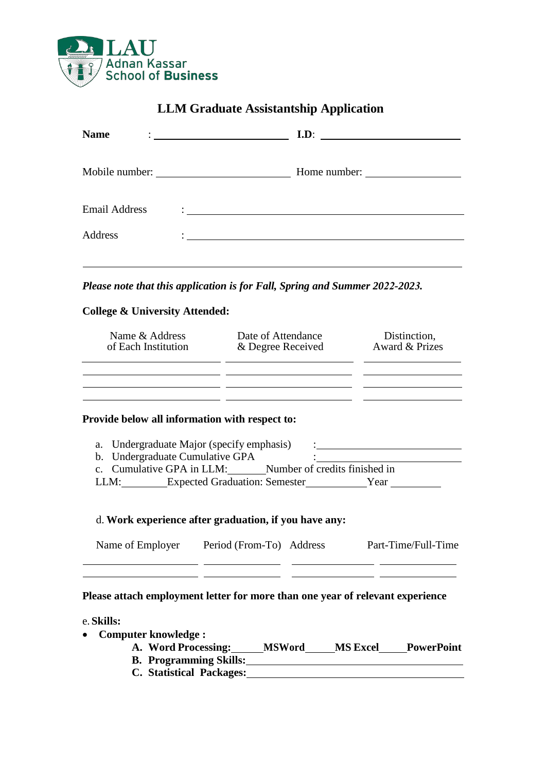

| <b>Name</b>                               | <u>: _________________________</u> _                                        | I.D:                           |  |  |
|-------------------------------------------|-----------------------------------------------------------------------------|--------------------------------|--|--|
|                                           |                                                                             | Home number:                   |  |  |
| Email Address                             |                                                                             |                                |  |  |
| Address                                   | <u> 1980 - John Stein, Amerikaansk politiker (</u>                          |                                |  |  |
| <b>College &amp; University Attended:</b> | Please note that this application is for Fall, Spring and Summer 2022-2023. |                                |  |  |
| Name & Address<br>of Each Institution     | Date of Attendance<br>& Degree Received                                     | Distinction,<br>Award & Prizes |  |  |

## **Provide below all information with respect to:**

| b. Undergraduate Cumulative GPA<br>c. Cumulative GPA in LLM:<br>Number of credits finished in | a. Undergraduate Major (specify emphasis) |  |
|-----------------------------------------------------------------------------------------------|-------------------------------------------|--|
|                                                                                               |                                           |  |
|                                                                                               |                                           |  |
| <b>Expected Graduation: Semester</b><br>LLM:<br>Year                                          |                                           |  |

# d. **Work experience after graduation, if you have any:**

| Name of Employer | Period (From-To) Address | Part-Time/Full-Time |
|------------------|--------------------------|---------------------|
|                  |                          |                     |

# **Please attach employment letter for more than one year of relevant experience**

#### e. **Skills:**

- **Computer knowledge :**
	- **A. Word Processing: MSWord MS Excel PowerPoint B.** Programming Skills:
	-
	- **C. Statistical Packages:**